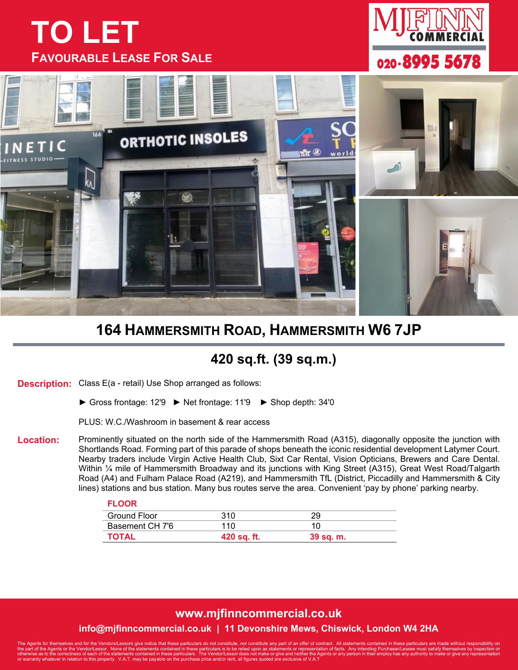# **TO LET FAVOURABLE LEASE FOR SALE**





## **164 HAMMERSMITH ROAD, HAMMERSMITH W6 7JP**

### **420 sq.ft. (39 sq.m.)**

**Description:** Class E(a - retail) Use Shop arranged as follows:

► Gross frontage: 12'9 ► Net frontage: 11'9 ► Shop depth: 34'0

PLUS: W.C./Washroom in basement & rear access

**Location:** Prominently situated on the north side of the Hammersmith Road (A315), diagonally opposite the junction with Shortlands Road. Forming part of this parade of shops beneath the iconic residential development Latymer Court. Nearby traders include Virgin Active Health Club, Sixt Car Rental, Vision Opticians, Brewers and Care Dental. Within ¼ mile of Hammersmith Broadway and its junctions with King Street (A315), Great West Road/Talgarth Road (A4) and Fulham Palace Road (A219), and Hammersmith TfL (District, Piccadilly and Hammersmith & City lines) stations and bus station. Many bus routes serve the area. Convenient 'pay by phone' parking nearby.

#### **FLOOR**

| Ground Floor    | 310         |           |  |
|-----------------|-------------|-----------|--|
| Basement CH 7'6 | 110         |           |  |
| TOTAL           | 420 sq. ft. | 39 sq. m. |  |

#### **www.mjfinncommercial.co.uk info@mjfinncommercial.co.uk | 11 Devonshire Mews, Chiswick, London W4 2HA**

The Agents for themselves and for the Vendors/Lessors give notice that these particulars do not constitute, nor constitute any part of an offer of contract. All statements contained in these particulars are made without re the part of the Agents or the Vendor/Lessor. None of the statements contained in these particulars is to be relied upon as statements or representation of facts. Any intending Purchaser/Lessee must satisfy themselves by in or warranty warranty who warranty when the purchase price and/or rent, all figures quoted be purchase price and